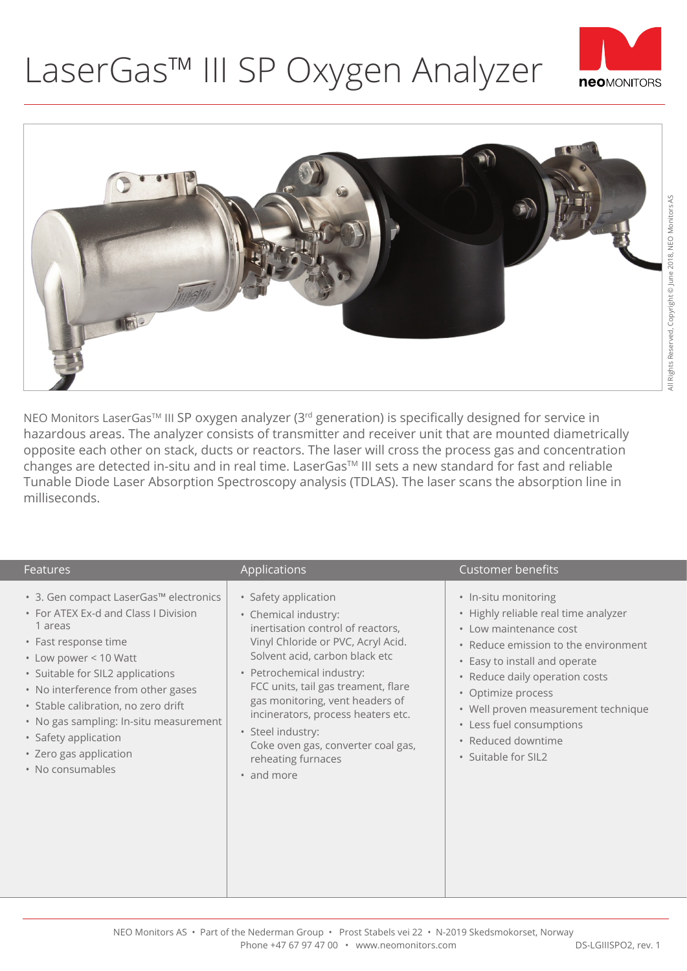## LaserGas™ III SP Oxygen Analyzer





NEO Monitors LaserGas<sup>™</sup> III SP oxygen analyzer (3<sup>rd</sup> generation) is specifically designed for service in hazardous areas. The analyzer consists of transmitter and receiver unit that are mounted diametrically opposite each other on stack, ducts or reactors. The laser will cross the process gas and concentration changes are detected in-situ and in real time. LaserGas™ III sets a new standard for fast and reliable Tunable Diode Laser Absorption Spectroscopy analysis (TDLAS). The laser scans the absorption line in milliseconds.

| <b>Features</b>                                                                                                                                                                                                                                                                                                                                                             | Applications                                                                                                                                                                                                                                                                                                                                                                                          | Customer benefits                                                                                                                                                                                                                                                                                                                       |
|-----------------------------------------------------------------------------------------------------------------------------------------------------------------------------------------------------------------------------------------------------------------------------------------------------------------------------------------------------------------------------|-------------------------------------------------------------------------------------------------------------------------------------------------------------------------------------------------------------------------------------------------------------------------------------------------------------------------------------------------------------------------------------------------------|-----------------------------------------------------------------------------------------------------------------------------------------------------------------------------------------------------------------------------------------------------------------------------------------------------------------------------------------|
| • 3. Gen compact LaserGas™ electronics<br>• For ATEX Ex-d and Class I Division<br>1 areas<br>• Fast response time<br>• Low power < 10 Watt<br>• Suitable for SIL2 applications<br>• No interference from other gases<br>· Stable calibration, no zero drift<br>• No gas sampling: In-situ measurement<br>• Safety application<br>• Zero gas application<br>• No consumables | · Safety application<br>• Chemical industry:<br>inertisation control of reactors,<br>Vinyl Chloride or PVC, Acryl Acid.<br>Solvent acid, carbon black etc<br>• Petrochemical industry:<br>FCC units, tail gas treament, flare<br>gas monitoring, vent headers of<br>incinerators, process heaters etc.<br>· Steel industry:<br>Coke oven gas, converter coal gas,<br>reheating furnaces<br>• and more | • In-situ monitoring<br>• Highly reliable real time analyzer<br>• Low maintenance cost<br>• Reduce emission to the environment<br>• Easy to install and operate<br>• Reduce daily operation costs<br>• Optimize process<br>• Well proven measurement technique<br>• Less fuel consumptions<br>· Reduced downtime<br>• Suitable for SIL2 |

NEO Monitors AS • Part of the Nederman Group • Prost Stabels vei 22 • N-2019 Skedsmokorset, Norway Phone +47 67 97 47 00 • www.neomonitors.com DS-LGIIISPO2, rev. 1